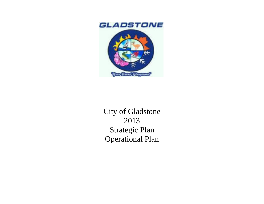



City of Gladstone 2013 Strategic Plan Operational Plan

1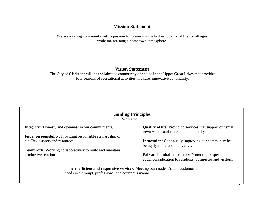## **Mission Statement**

We are a caring community with a passion for providing the highest quality of life for all ages while maintaining a hometown atmosphere.

## **Vision Statement**

The City of Gladstone will be the lakeside community of choice in the Upper Great Lakes that provides four seasons of recreational activities in a safe, innovative community.

## **Guiding Principles**

We value

**Integrity:** Honesty and openness in our commitments.

**Fiscal responsibility:** Providing responsible stewardship of the City's assets and resources.

**Teamwork:** Working collaboratively to build and maintain productive relationships.

**Quality of life:** Providing services that support our small town values and close-knit community.

**Innovation:** Continually improving our community by being dynamic and innovative.

**Fair and equitable practice:** Promoting respect and equal consideration to residents, businesses and visitors.

**Timely, efficient and responsive services:** Meeting our resident's and customer's needs in a prompt, professional and courteous manner.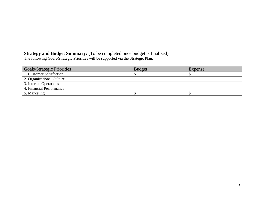## **Strategy and Budget Summary:** (To be completed once budget is finalized)

The following Goals/Strategic Priorities will be supported via the Strategic Plan.

| <b>Goals/Strategic Priorities</b> | <b>Budget</b> | Expense |
|-----------------------------------|---------------|---------|
| 1. Customer Satisfaction          |               |         |
| 2. Organizational Culture         |               |         |
| 3. Internal Operations            |               |         |
| 4. Financial Performance          |               |         |
| 5. Marketing                      |               |         |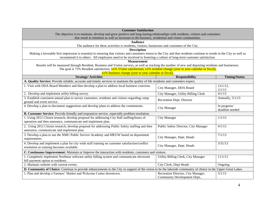| <b>Customer Satisfaction</b><br>The objective is to maintain, develop and grow positive and long-lasting relationships with residents, visitors and customers            |                                      |                                 |  |
|--------------------------------------------------------------------------------------------------------------------------------------------------------------------------|--------------------------------------|---------------------------------|--|
| that result in retention as well as increases to the business, residential and visitor communities.                                                                      |                                      |                                 |  |
| <b>Audience</b>                                                                                                                                                          |                                      |                                 |  |
| The audience for these activities is residents, visitors, businesses and customers of the City.                                                                          |                                      |                                 |  |
| <b>Description</b>                                                                                                                                                       |                                      |                                 |  |
| Making a favorable first impression is essential to ensuring that visitors and customers return to the City and that residents continue to reside in the City as well as |                                      |                                 |  |
| recommend it to others. All employees need to be involved in fostering a culture of long-term customer satisfaction.                                                     |                                      |                                 |  |
| <b>Measurement</b>                                                                                                                                                       |                                      |                                 |  |
| Results will be measured through Resident, Business and Visitor surveys, as well as tracking the number of new and departing residents and businesses.                   |                                      |                                 |  |
| The goal is 75% Resident satisfaction, xx% Visitor satisfaction; xx% resident change (year to year calendar or fiscal),                                                  |                                      |                                 |  |
| xx% business change (year to year calendar or fiscal).                                                                                                                   |                                      |                                 |  |
| <b>Strategy/Activities</b>                                                                                                                                               | <b>Responsibility</b>                | <b>Timing/Status</b>            |  |
| A. Quality Service: Provide reliable, accurate and timely services to maintain the quality of life residents and customers expect.                                       |                                      |                                 |  |
| 1. Visit with DDA Board Members and then develop a plan to address local business concerns.                                                                              | City Manager, DDA Board              | $12/1/12$ ,                     |  |
|                                                                                                                                                                          |                                      | 2/1/13                          |  |
| 2. Develop and implement utility billing survey.                                                                                                                         | City Manager, Utility Billing Clerk  | 4/1/13                          |  |
| 3. Establish consistent annual plan to survey customers, residents and visitors regarding camp<br>ground and event service.                                              | Recreation Dept. Director            | Annually, 5/1/13                |  |
| 4. Develop a plan to document suggestions and develop plans to address the commments.                                                                                    | <b>City Manager</b>                  | In progress/<br>deadline needed |  |
| B. Customer Service: Provide friendly and responsive service, especially problem resolution.                                                                             |                                      |                                 |  |
| 1. Using 2012 Citizen research, develop proposal for addressing City Hall staffing/hours of                                                                              | City Manager                         | 1/1/13                          |  |
| operation and then announce, communicate and implement plan.                                                                                                             |                                      |                                 |  |
| 2. Using 2012 Citizen research, develop proposal for addressing Public Safety staffing and then<br>announce, communicate and implement plan.                             | Public Safety Director, City Manager | 4/1/13                          |  |
|                                                                                                                                                                          |                                      |                                 |  |
| 3. Develop a plan to use the NMU Public Service Academy and MEUW based on department<br>requirements.                                                                    | City Manager, Dept. Heads            | 7/1/13                          |  |
| 4. Develop and implement a plan for city wide staff training on customer satisfaction/conflict                                                                           | City Manager, Dept. Heads            | 3/31/13                         |  |
| resolution as training becomes available.                                                                                                                                |                                      |                                 |  |
| C. Continuous Improvement: Maintain or Improve the interaction with residents, customers and visitors.                                                                   |                                      |                                 |  |
| 1. Completely implement Northstar software utility billing system and communicate electronic                                                                             | Utility Billing Clerk, City Manager  | 11/1/12                         |  |
| bill payment option to residents.<br>2. Maintain website with current events.                                                                                            |                                      |                                 |  |
|                                                                                                                                                                          | City Clerk, Dept Heads               | Ongoing                         |  |
| D. Community of Choice: Continue to provide enhancements to the City in support of the vision to be the lakeside community of choice in the Upper Great Lakes.           |                                      |                                 |  |
| 1. Plan and develop a Farmers' Market and Welcome Center downtown.                                                                                                       | Recreation Director, City Manager,   | 5/1/13                          |  |
|                                                                                                                                                                          | Community Development Dept.,         |                                 |  |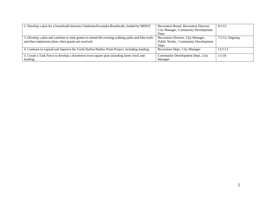| 2. Develop a plan for a boardwalk between Gladstone/Escanaba Boardwalk, funded by MDOT.            | Recreation Board, Recreation Director,     | 6/1/13             |
|----------------------------------------------------------------------------------------------------|--------------------------------------------|--------------------|
|                                                                                                    | <b>City Manager, Community Development</b> |                    |
|                                                                                                    | Dept.                                      |                    |
| 3. Develop a plan and continue to seek grants to extend the existing walking paths and bike trails | Recreation Director, City Manager,         | $7/1/13$ , Ongoing |
| and then implement plans when grants are received.                                                 | Public Works, Community Development        |                    |
|                                                                                                    | Dept.                                      |                    |
| 4. Continue to expand and improve the Yacht Harbor/Harbor Point Project, including funding.        | Recreation Dept., City Manager             | 12/1/13            |
|                                                                                                    |                                            |                    |
| 5. Create a Task Force to develop a downtown town square plan including street clock and           | Community Development Dept., City          | 1/1/16             |
| funding.                                                                                           | Manager                                    |                    |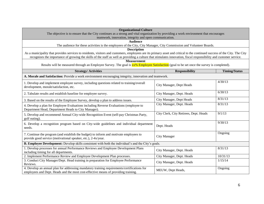| <b>Organizational Culture</b><br>The objective is to ensure that the City continues as a strong and vital organization by providing a work environment that encourages                                                                                                                                                                            |                                        |                      |  |
|---------------------------------------------------------------------------------------------------------------------------------------------------------------------------------------------------------------------------------------------------------------------------------------------------------------------------------------------------|----------------------------------------|----------------------|--|
| teamwork, innovation, integrity and open communication.                                                                                                                                                                                                                                                                                           |                                        |                      |  |
| <b>Audience</b>                                                                                                                                                                                                                                                                                                                                   |                                        |                      |  |
| The audience for these activities is the employees of the City, City Manager, City Commission and Volunteer Boards.                                                                                                                                                                                                                               |                                        |                      |  |
| <b>Description</b>                                                                                                                                                                                                                                                                                                                                |                                        |                      |  |
| As a municipality that provides services to residents, visitors and customers, employees are its primary asset and critical to the continued success of the City. The City<br>recognizes the importance of growing the skills of the staff as well as providing a culture that stimulates innovation, fiscal responsibility and customer service. |                                        |                      |  |
| <b>Measurement</b>                                                                                                                                                                                                                                                                                                                                |                                        |                      |  |
| Results will be measured through an Employee Survey. The goal is xx% Employee Satisfaction (goal to be set once the survey is completed).                                                                                                                                                                                                         |                                        |                      |  |
| <b>Strategy/Activities</b>                                                                                                                                                                                                                                                                                                                        | <b>Responsibility</b>                  | <b>Timing/Status</b> |  |
| A. Morale and Satisfaction: Provide a work environment encouraging integrity, innovation and teamwork.                                                                                                                                                                                                                                            |                                        |                      |  |
| 1. Develop and implement employee survey, including questions related to training/overall<br>development, morale/satisfaction, etc.                                                                                                                                                                                                               | City Manager, Dept Heads               | 4/30/13              |  |
| 2. Tabulate results and establish baseline for employee survey.                                                                                                                                                                                                                                                                                   | City Manager, Dept. Heads              | 6/30/13              |  |
| 3. Based on the results of the Employee Survey, develop a plan to address issues.                                                                                                                                                                                                                                                                 | City Manager, Dept Heads               | 8/31/13              |  |
| 4. Develop a plan for Employee Evaluations including Reverse Evaluations (employee to<br>Department Head, Department Heads to City Manager).                                                                                                                                                                                                      | City Manager, Dept. Heads              | 8/31/13              |  |
| 5. Develop and recommend Annual City-wide Recognition Event (self-pay Christmas Party,<br>golf outing).                                                                                                                                                                                                                                           | City Clerk, City Retirees, Dept. Heads | 9/1/13               |  |
| 6. Develop a recognition program based on City-wide guidelines and individual department<br>needs.                                                                                                                                                                                                                                                | Dept. Heads                            | 9/30/13              |  |
| 7. Continue the program (and establish the budget) to inform and motivate employees to<br>provide good service (motivational speaker, etc.), 2-4x/year.                                                                                                                                                                                           | City Manager                           | Ongoing              |  |
| <b>B. Employee Development:</b> Develop skills consistent with both the individual's and the City's goals.                                                                                                                                                                                                                                        |                                        |                      |  |
| 1. Develop processes for annual Performance Reviews and Employee Development Plans<br>including timing for all departments.                                                                                                                                                                                                                       | City Manager, Dept. Heads              | 8/31/13              |  |
| 2. Implement Performance Review and Employee Development Plan processes.                                                                                                                                                                                                                                                                          | City Manager, Dept. Heads              | 10/31/13             |  |
| 3. Conduct City Manager/Dept. Head training in preparation for Employee Performance<br>Reviews.                                                                                                                                                                                                                                                   | City Manager, Dept. Heads              | 1/15/14              |  |
| 4. Develop an annual plan for addressing mandatory training requirements/certifications for<br>employees and Dept. Heads and the most cost-effective means of providing training.                                                                                                                                                                 | MEUW, Dept Heads,                      | Ongoing              |  |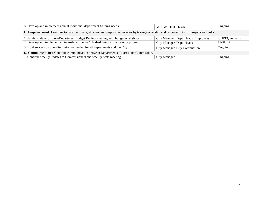| 5. Develop and implement annual individual department training needs.                                                                        | MEUW, Dept. Heads                    | Ongoing              |  |
|----------------------------------------------------------------------------------------------------------------------------------------------|--------------------------------------|----------------------|--|
| C. Empowerment: Continue to provide timely, efficient and responsive services by taking ownership and responsibility for projects and tasks. |                                      |                      |  |
| 1. Establish date for Intra-Department Budget Review meeting with budget workshops.                                                          | City Manager, Dept. Heads, Employees | $2/18/13$ , annually |  |
| 2. Develop and implement an inter-departmental/job shadowing cross training program.                                                         | City Manager, Dept. Heads            | 12/31/13             |  |
| 3. Hold succession plan discussion as needed for all departments and the City.                                                               | City Manager, City Commission        | Ongoing              |  |
| <b>D. Communications:</b> Continue communication between Departments, Boards and Commission.                                                 |                                      |                      |  |
| 1. Continue weekly updates to Commissioners and weekly Staff meeting.                                                                        | <b>City Manager</b>                  | Ongoing              |  |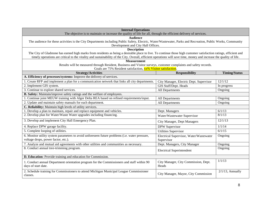| <b>Internal Operations</b>                                                                                                                                                                                                                                                                                                                 |                                                       |                      |  |
|--------------------------------------------------------------------------------------------------------------------------------------------------------------------------------------------------------------------------------------------------------------------------------------------------------------------------------------------|-------------------------------------------------------|----------------------|--|
| The objective is to maintain or increase the quality of life for all, through the efficient delivery of services.                                                                                                                                                                                                                          |                                                       |                      |  |
| <b>Audience</b>                                                                                                                                                                                                                                                                                                                            |                                                       |                      |  |
| The audience for these activities is the City Departments including Public Safety, Electric, Water/Wastewater, Parks and Recreation, Public Works, Community                                                                                                                                                                               |                                                       |                      |  |
| Development and City Hall Offices.                                                                                                                                                                                                                                                                                                         |                                                       |                      |  |
| <b>Description</b>                                                                                                                                                                                                                                                                                                                         |                                                       |                      |  |
| The City of Gladstone has earned high marks from residents as being a desirable place to live. To continue those high customer satisfaction ratings, efficient and<br>timely operations are critical to the vitality and sustainability of the City. Overall, efficient operations will save time, money and increase the quality of life. |                                                       |                      |  |
| <b>Measurement</b>                                                                                                                                                                                                                                                                                                                         |                                                       |                      |  |
| Results will be measured through Resident, Business and Visitor surveys, customer complaints and safety records.                                                                                                                                                                                                                           |                                                       |                      |  |
| Goals are 75% Resident satisfaction, xx% Visitor satisfaction.                                                                                                                                                                                                                                                                             |                                                       |                      |  |
| <b>Strategy/Activities</b>                                                                                                                                                                                                                                                                                                                 | <b>Responsibility</b>                                 | <b>Timing/Status</b> |  |
| A. Efficiency of processes/systems: Improve the delivery of services.                                                                                                                                                                                                                                                                      |                                                       |                      |  |
| 1. Create RFP and implement a plan for a communication network that links all city departments.                                                                                                                                                                                                                                            | City Manager, Electric Dept. Supervisor               | 12/1/12              |  |
| 2. Implement GIS system.                                                                                                                                                                                                                                                                                                                   | GIS Staff/Dept. Heads                                 | In progress          |  |
| 3. Continue to explore shared services.                                                                                                                                                                                                                                                                                                    | All Departments                                       | Ongoing              |  |
| B. Safety: Maintain/improve safety ratings and the welfare of employees.                                                                                                                                                                                                                                                                   |                                                       |                      |  |
| 1. Continue joint MEUW training with Alger Delta REA based on refined requirements/input.                                                                                                                                                                                                                                                  | All Departments                                       | Ongoing              |  |
| 2. Update and maintain safety manuals for each department.                                                                                                                                                                                                                                                                                 | All Departments                                       | Ongoing              |  |
| C. Reliability: Maintain high levels of utility services.                                                                                                                                                                                                                                                                                  |                                                       |                      |  |
| 1. Develop a plan to maintain, repair and replace equipment and vehicles.                                                                                                                                                                                                                                                                  | Dept. Managers                                        | 6/1/13               |  |
| 2. Develop plan for Water/Waste Water upgrades including financing.                                                                                                                                                                                                                                                                        | Water/Wastewater Supervisor                           | 8/1/13               |  |
| 3. Develop and implement City Hall Emergency Plan.                                                                                                                                                                                                                                                                                         | City Manager, Dept Managers                           | 12/1/13              |  |
| 4. Replace DPW garage facility.                                                                                                                                                                                                                                                                                                            | <b>DPW</b> Supervisor                                 | 1/1/14               |  |
| 5. Complete looping of utilities.                                                                                                                                                                                                                                                                                                          | <b>Utilities Supervisor</b>                           | 6/1/15               |  |
| 6. Monitor utility system parameters to avoid unforeseen future problems (i.e. water pressure,<br>voltage drops, power factor, etc.).                                                                                                                                                                                                      | Electrical Supervisor, Water/Wastewater<br>Supervisor | Ongoing              |  |
| 7. Analyze and mutual aid agreements with other utilities and communities as necessary.                                                                                                                                                                                                                                                    | Dept. Managers, City Manager                          | Ongoing              |  |
| 8. Conduct annual tree-trimming program.                                                                                                                                                                                                                                                                                                   |                                                       | Ongoing              |  |
|                                                                                                                                                                                                                                                                                                                                            | <b>Electrical Superintendent</b>                      |                      |  |
| D. Education: Provide training and education for Commission.                                                                                                                                                                                                                                                                               |                                                       |                      |  |
| 1. Conduct annual Department orientation program for the Commissioners and staff within 90<br>days of start date.                                                                                                                                                                                                                          | City Manager, City Commission, Dept.<br>Heads         | 1/1/13               |  |
| 2. Schedule training for Commissioners to attend Michigan Municipal League Commissioner<br>classes.                                                                                                                                                                                                                                        | City Manager, Mayor, City Commission                  | $2/1/13$ , Annually  |  |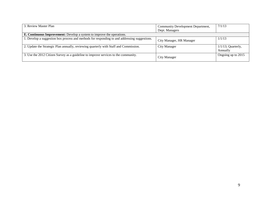| 3. Review Master Plan                                                                         | Community Development Department,<br>Dept. Managers | 7/1/13                            |
|-----------------------------------------------------------------------------------------------|-----------------------------------------------------|-----------------------------------|
| <b>E. Continuous Improvement:</b> Develop a system to improve the operations.                 |                                                     |                                   |
| 1. Develop a suggestion box process and methods for responding to and addressing suggestions. | City Manager, HR Manager                            | 1/1/13                            |
| 2. Update the Strategic Plan annually, reviewing quarterly with Staff and Commission.         | <b>City Manager</b>                                 | $1/1/13$ ; Quarterly,<br>Annually |
| 3. Use the 2012 Citizen Survey as a guideline to improve services to the community.           | City Manager                                        | Ongoing up to 2015                |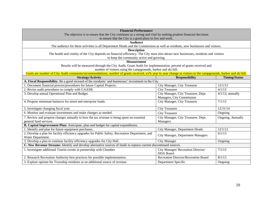| <b>Financial Performance</b><br>The objective is to ensure that the City continues as a strong and vital by making prudent financial decisions<br>to ensure that the City is a good place to live and work. |                                                                  |                      |  |
|-------------------------------------------------------------------------------------------------------------------------------------------------------------------------------------------------------------|------------------------------------------------------------------|----------------------|--|
| <b>Audience</b><br>The audience for these activities is all Department Heads and the Commission as well as residents, new businesses and visitors.                                                          |                                                                  |                      |  |
| <b>Description</b>                                                                                                                                                                                          |                                                                  |                      |  |
| The health and vitality of the City depends on financial efficiency. The City must also attract new businesses, residents and visitors<br>to keep the community active and growing.                         |                                                                  |                      |  |
| <b>Measurement</b>                                                                                                                                                                                          |                                                                  |                      |  |
| Results will be measured through the City Audit, Grant Audit for implementation, percent of grants received and                                                                                             |                                                                  |                      |  |
| number of visitors using the campgrounds, harbor and ski hill.                                                                                                                                              |                                                                  |                      |  |
| Goals are number of City Audit comments/recommendations, number of grants received, xx% year to year change in visitors to the campgrounds, harbor and ski hill.<br><b>Strategy/Activity</b>                | <b>Responsibility</b>                                            | <b>Timing/Status</b> |  |
| A. Fiscal Responsibility: Be a good steward of the residents' and businesses' investment in the City.                                                                                                       |                                                                  |                      |  |
| 1. Document financial process/procedures for future Capital Projects.                                                                                                                                       | City Manager, City Treasurer                                     | 12/1/12              |  |
| 2. Revise audit procedures to comply with GAASB.                                                                                                                                                            | <b>City Treasurer</b>                                            | 4/1/13               |  |
| 3. Develop annual Operational Plan and Budget.                                                                                                                                                              | City Manager, City Treasurer, Dept.<br>Managers, City Commission | $4/1/13$ , annually  |  |
| 4. Propose minimum balances for street and enterprise funds.                                                                                                                                                | City Manager, City Treasurer                                     | 7/1/13               |  |
| 5. Investigate changing fiscal year.                                                                                                                                                                        | <b>City Treasurer</b>                                            | 12/31/14             |  |
| 6. Monitor and evaluate investments and make changes as needed.                                                                                                                                             | <b>City Treasurer</b>                                            | Ongoing              |  |
| 7. Review and propose changes annually to how the tax revenue is being spent on essential<br>general fund services.                                                                                         | City Manager, City Treasurer, Dept.<br>Managers                  | Ongoing, Annually    |  |
| B. Capital Improvement Plan: Anticipate, plan and budget for capital expenditures.                                                                                                                          |                                                                  |                      |  |
| 1. Identify and plan for future equipment purchases.                                                                                                                                                        | City Manager, Department Heads                                   | 12/1/12              |  |
| 2. Develop a plan for facility efficiency upgrades for Public Safety, Recreation Department, and<br>Water Department.                                                                                       | City Manager, Department Managers                                | 6/1/13               |  |
| 3. Develop a plan to continue facility efficiency upgrades for City Hall.                                                                                                                                   | <b>City Manager</b>                                              | Ongoing              |  |
| C. New Revenue Streams: Identify and develop alternative sources of funds to replace current discontinued sources.                                                                                          |                                                                  |                      |  |
| 1. Investigate additional Tourist events in partnership with Chamber                                                                                                                                        | City Manager/ Recreation Director/<br><b>DDA</b> Board           | 7/1/13               |  |
| 2. Research Recreation Authority best practices for possible implementation.                                                                                                                                | Recreation Director/Recreation Board                             | 8/1/13               |  |
| 3. Explore options for Township residents as an additional source of revenue.                                                                                                                               | Department Specific                                              | Ongoing              |  |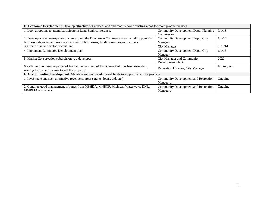| <b>D. Economic Development:</b> Develop attractive but unused land and modify some existing areas for more productive uses. |                                             |             |
|-----------------------------------------------------------------------------------------------------------------------------|---------------------------------------------|-------------|
| 1. Look at options to attend/participate in Land Bank conference.                                                           | Community Development Dept., Planning       | 9/1/13      |
|                                                                                                                             | Commission                                  |             |
| 2. Develop a revenue/expense plan to expand the Downtown Commerce area including potential                                  | Community Development Dept., City           | 1/1/14      |
| business categories and resources to identify businesses, funding sources and partners.                                     | Manager                                     |             |
| 3. Create plan to develop vacant land.                                                                                      | <b>City Manager</b>                         | 3/31/14     |
| 4. Implement Commerce Development plan.                                                                                     | Community Development Dept., City           | 1/1/15      |
|                                                                                                                             | Manager                                     |             |
| 5. Market Conservation subdivision to a developer.                                                                          | City Manager and Community                  | 2020        |
|                                                                                                                             | Development Dept.                           |             |
| 6. Offer to purchase the parcel of land at the west end of Van Cleve Park has been extended;                                | Recreation Director, City Manager           | In progress |
| waiting for owner to agree to sell the property.                                                                            |                                             |             |
| E. Grant Funding Development: Maintain and secure additional funds to support the City's projects.                          |                                             |             |
| 1. Investigate and seek alternative revenue sources (grants, loans, aid, etc.)                                              | <b>Community Development and Recreation</b> | Ongoing     |
|                                                                                                                             | Managers                                    |             |
| 2. Continue good management of funds from MSHDA, MNRTF, Michigan Waterways, DNR,                                            | Community Development and Recreation        | Ongoing     |
| MMRMA and others.                                                                                                           | Managers                                    |             |